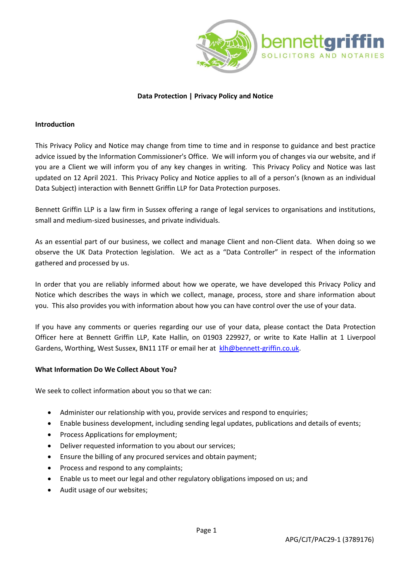



## **Data Protection | Privacy Policy and Notice**

#### **Introduction**

This Privacy Policy and Notice may change from time to time and in response to guidance and best practice advice issued by the Information Commissioner's Office. We will inform you of changes via our website, and if you are a Client we will inform you of any key changes in writing. This Privacy Policy and Notice was last updated on 12 April 2021. This Privacy Policy and Notice applies to all of a person's (known as an individual Data Subject) interaction with Bennett Griffin LLP for Data Protection purposes.

Bennett Griffin LLP is a law firm in Sussex offering a range of legal services to organisations and institutions, small and medium-sized businesses, and private individuals.

As an essential part of our business, we collect and manage Client and non-Client data. When doing so we observe the UK Data Protection legislation. We act as a "Data Controller" in respect of the information gathered and processed by us.

In order that you are reliably informed about how we operate, we have developed this Privacy Policy and Notice which describes the ways in which we collect, manage, process, store and share information about you. This also provides you with information about how you can have control over the use of your data.

If you have any comments or queries regarding our use of your data, please contact the Data Protection Officer here at Bennett Griffin LLP, Kate Hallin, on 01903 229927, or write to Kate Hallin at 1 Liverpool Gardens, Worthing, West Sussex, BN11 1TF or email her at [klh@bennett-griffin.co.uk.](mailto:klh@bennett-griffin.co.uk)

### **What Information Do We Collect About You?**

We seek to collect information about you so that we can:

- Administer our relationship with you, provide services and respond to enquiries;
- Enable business development, including sending legal updates, publications and details of events;
- Process Applications for employment;
- Deliver requested information to you about our services;
- Ensure the billing of any procured services and obtain payment;
- Process and respond to any complaints;
- Enable us to meet our legal and other regulatory obligations imposed on us; and
- Audit usage of our websites;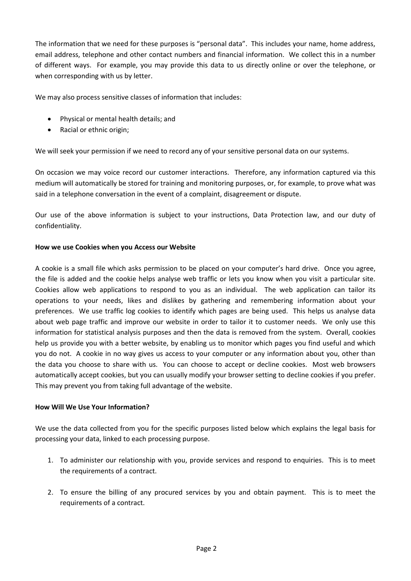The information that we need for these purposes is "personal data". This includes your name, home address, email address, telephone and other contact numbers and financial information. We collect this in a number of different ways. For example, you may provide this data to us directly online or over the telephone, or when corresponding with us by letter.

We may also process sensitive classes of information that includes:

- Physical or mental health details; and
- Racial or ethnic origin;

We will seek your permission if we need to record any of your sensitive personal data on our systems.

On occasion we may voice record our customer interactions. Therefore, any information captured via this medium will automatically be stored for training and monitoring purposes, or, for example, to prove what was said in a telephone conversation in the event of a complaint, disagreement or dispute.

Our use of the above information is subject to your instructions, Data Protection law, and our duty of confidentiality.

### **How we use Cookies when you Access our Website**

A cookie is a small file which asks permission to be placed on your computer's hard drive. Once you agree, the file is added and the cookie helps analyse web traffic or lets you know when you visit a particular site. Cookies allow web applications to respond to you as an individual. The web application can tailor its operations to your needs, likes and dislikes by gathering and remembering information about your preferences. We use traffic log cookies to identify which pages are being used. This helps us analyse data about web page traffic and improve our website in order to tailor it to customer needs. We only use this information for statistical analysis purposes and then the data is removed from the system. Overall, cookies help us provide you with a better website, by enabling us to monitor which pages you find useful and which you do not. A cookie in no way gives us access to your computer or any information about you, other than the data you choose to share with us. You can choose to accept or decline cookies. Most web browsers automatically accept cookies, but you can usually modify your browser setting to decline cookies if you prefer. This may prevent you from taking full advantage of the website.

### **How Will We Use Your Information?**

We use the data collected from you for the specific purposes listed below which explains the legal basis for processing your data, linked to each processing purpose.

- 1. To administer our relationship with you, provide services and respond to enquiries. This is to meet the requirements of a contract.
- 2. To ensure the billing of any procured services by you and obtain payment. This is to meet the requirements of a contract.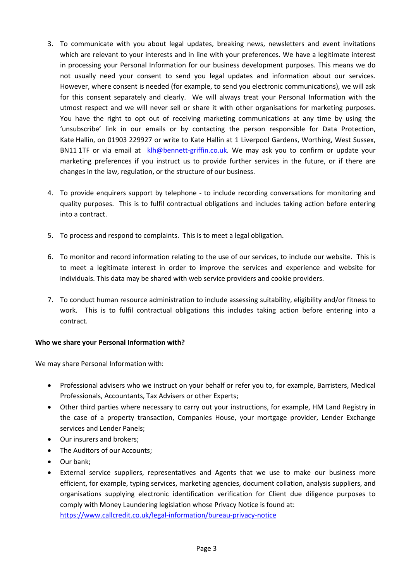- 3. To communicate with you about legal updates, breaking news, newsletters and event invitations which are relevant to your interests and in line with your preferences. We have a legitimate interest in processing your Personal Information for our business development purposes. This means we do not usually need your consent to send you legal updates and information about our services. However, where consent is needed (for example, to send you electronic communications), we will ask for this consent separately and clearly. We will always treat your Personal Information with the utmost respect and we will never sell or share it with other organisations for marketing purposes. You have the right to opt out of receiving marketing communications at any time by using the 'unsubscribe' link in our emails or by contacting the person responsible for Data Protection, Kate Hallin, on 01903 229927 or write to Kate Hallin at 1 Liverpool Gardens, Worthing, West Sussex, BN11 1TF or via email at [klh@bennett-griffin.co.uk.](mailto:klh@bennett-griffin.co.uk) We may ask you to confirm or update your marketing preferences if you instruct us to provide further services in the future, or if there are changes in the law, regulation, or the structure of our business.
- 4. To provide enquirers support by telephone to include recording conversations for monitoring and quality purposes. This is to fulfil contractual obligations and includes taking action before entering into a contract.
- 5. To process and respond to complaints. This is to meet a legal obligation.
- 6. To monitor and record information relating to the use of our services, to include our website. This is to meet a legitimate interest in order to improve the services and experience and website for individuals. This data may be shared with web service providers and cookie providers.
- 7. To conduct human resource administration to include assessing suitability, eligibility and/or fitness to work. This is to fulfil contractual obligations this includes taking action before entering into a contract.

# **Who we share your Personal Information with?**

We may share Personal Information with:

- Professional advisers who we instruct on your behalf or refer you to, for example, Barristers, Medical Professionals, Accountants, Tax Advisers or other Experts;
- Other third parties where necessary to carry out your instructions, for example, HM Land Registry in the case of a property transaction, Companies House, your mortgage provider, Lender Exchange services and Lender Panels;
- Our insurers and brokers;
- The Auditors of our Accounts;
- Our bank;
- External service suppliers, representatives and Agents that we use to make our business more efficient, for example, typing services, marketing agencies, document collation, analysis suppliers, and organisations supplying electronic identification verification for Client due diligence purposes to comply with Money Laundering legislation whose Privacy Notice is found at: <https://www.callcredit.co.uk/legal-information/bureau-privacy-notice>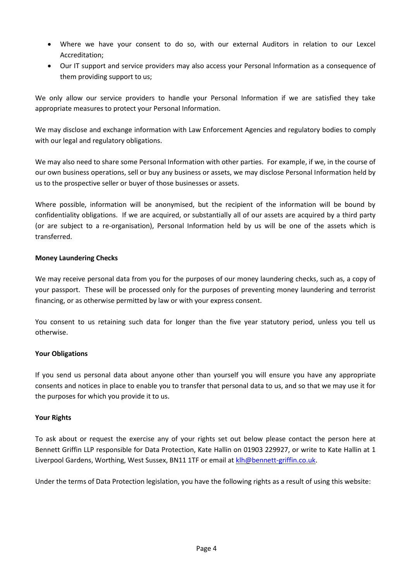- Where we have your consent to do so, with our external Auditors in relation to our Lexcel Accreditation;
- Our IT support and service providers may also access your Personal Information as a consequence of them providing support to us;

We only allow our service providers to handle your Personal Information if we are satisfied they take appropriate measures to protect your Personal Information.

We may disclose and exchange information with Law Enforcement Agencies and regulatory bodies to comply with our legal and regulatory obligations.

We may also need to share some Personal Information with other parties. For example, if we, in the course of our own business operations, sell or buy any business or assets, we may disclose Personal Information held by us to the prospective seller or buyer of those businesses or assets.

Where possible, information will be anonymised, but the recipient of the information will be bound by confidentiality obligations. If we are acquired, or substantially all of our assets are acquired by a third party (or are subject to a re-organisation), Personal Information held by us will be one of the assets which is transferred.

# **Money Laundering Checks**

We may receive personal data from you for the purposes of our money laundering checks, such as, a copy of your passport. These will be processed only for the purposes of preventing money laundering and terrorist financing, or as otherwise permitted by law or with your express consent.

You consent to us retaining such data for longer than the five year statutory period, unless you tell us otherwise.

# **Your Obligations**

If you send us personal data about anyone other than yourself you will ensure you have any appropriate consents and notices in place to enable you to transfer that personal data to us, and so that we may use it for the purposes for which you provide it to us.

# **Your Rights**

To ask about or request the exercise any of your rights set out below please contact the person here at Bennett Griffin LLP responsible for Data Protection, Kate Hallin on 01903 229927, or write to Kate Hallin at 1 Liverpool Gardens, Worthing, West Sussex, BN11 1TF or email a[t klh@bennett-griffin.co.uk.](mailto:klh@bennett-griffin.co.uk)

Under the terms of Data Protection legislation, you have the following rights as a result of using this website: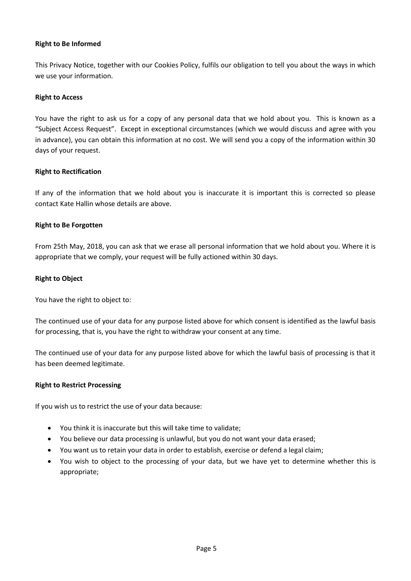## **Right to Be Informed**

This Privacy Notice, together with our Cookies Policy, fulfils our obligation to tell you about the ways in which we use your information.

### **Right to Access**

You have the right to ask us for a copy of any personal data that we hold about you. This is known as a "Subject Access Request". Except in exceptional circumstances (which we would discuss and agree with you in advance), you can obtain this information at no cost. We will send you a copy of the information within 30 days of your request.

### **Right to Rectification**

If any of the information that we hold about you is inaccurate it is important this is corrected so please contact Kate Hallin whose details are above.

### **Right to Be Forgotten**

From 25th May, 2018, you can ask that we erase all personal information that we hold about you. Where it is appropriate that we comply, your request will be fully actioned within 30 days.

### **Right to Object**

You have the right to object to:

The continued use of your data for any purpose listed above for which consent is identified as the lawful basis for processing, that is, you have the right to withdraw your consent at any time.

The continued use of your data for any purpose listed above for which the lawful basis of processing is that it has been deemed legitimate.

### **Right to Restrict Processing**

If you wish us to restrict the use of your data because:

- You think it is inaccurate but this will take time to validate;
- You believe our data processing is unlawful, but you do not want your data erased;
- You want us to retain your data in order to establish, exercise or defend a legal claim;
- You wish to object to the processing of your data, but we have yet to determine whether this is appropriate;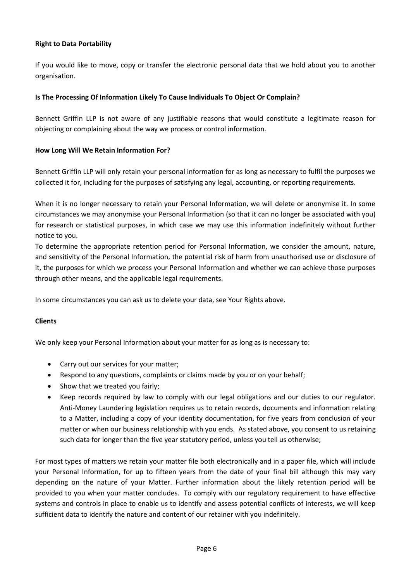# **Right to Data Portability**

If you would like to move, copy or transfer the electronic personal data that we hold about you to another organisation.

### **Is The Processing Of Information Likely To Cause Individuals To Object Or Complain?**

Bennett Griffin LLP is not aware of any justifiable reasons that would constitute a legitimate reason for objecting or complaining about the way we process or control information.

### **How Long Will We Retain Information For?**

Bennett Griffin LLP will only retain your personal information for as long as necessary to fulfil the purposes we collected it for, including for the purposes of satisfying any legal, accounting, or reporting requirements.

When it is no longer necessary to retain your Personal Information, we will delete or anonymise it. In some circumstances we may anonymise your Personal Information (so that it can no longer be associated with you) for research or statistical purposes, in which case we may use this information indefinitely without further notice to you.

To determine the appropriate retention period for Personal Information, we consider the amount, nature, and sensitivity of the Personal Information, the potential risk of harm from unauthorised use or disclosure of it, the purposes for which we process your Personal Information and whether we can achieve those purposes through other means, and the applicable legal requirements.

In some circumstances you can ask us to delete your data, see Your Rights above.

### **Clients**

We only keep your Personal Information about your matter for as long as is necessary to:

- Carry out our services for your matter;
- Respond to any questions, complaints or claims made by you or on your behalf;
- Show that we treated you fairly;
- Keep records required by law to comply with our legal obligations and our duties to our regulator. Anti-Money Laundering legislation requires us to retain records, documents and information relating to a Matter, including a copy of your identity documentation, for five years from conclusion of your matter or when our business relationship with you ends. As stated above, you consent to us retaining such data for longer than the five year statutory period, unless you tell us otherwise;

For most types of matters we retain your matter file both electronically and in a paper file, which will include your Personal Information, for up to fifteen years from the date of your final bill although this may vary depending on the nature of your Matter. Further information about the likely retention period will be provided to you when your matter concludes. To comply with our regulatory requirement to have effective systems and controls in place to enable us to identify and assess potential conflicts of interests, we will keep sufficient data to identify the nature and content of our retainer with you indefinitely.